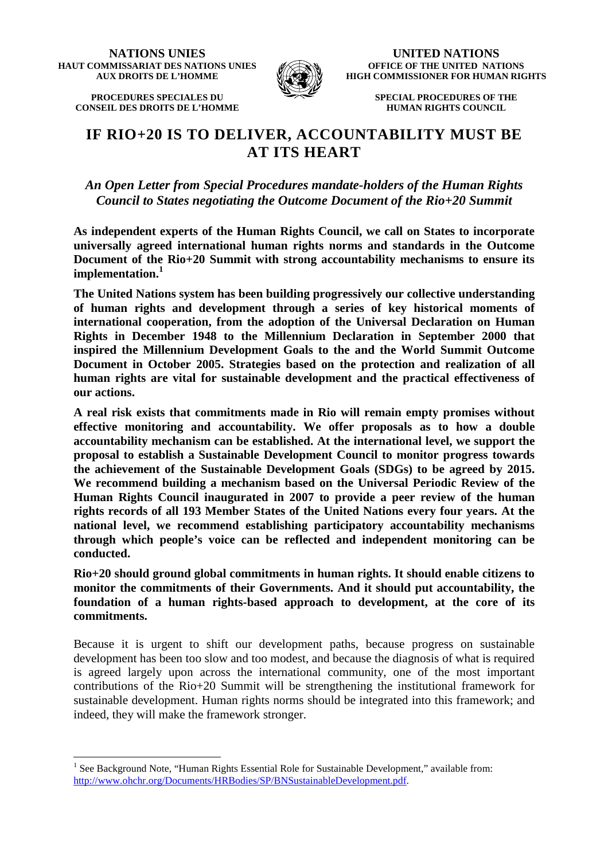**NATIONS UNIES HAUT COMMISSARIAT DES NATIONS UNIES AUX DROITS DE L'HOMME** 

**PROCEDURES SPECIALES DU CONSEIL DES DROITS DE L'HOMME**

 $\overline{a}$ 



**UNITED NATIONS OFFICE OF THE UNITED NATIONS HIGH COMMISSIONER FOR HUMAN RIGHTS** 

> **SPECIAL PROCEDURES OF THE HUMAN RIGHTS COUNCIL**

# **IF RIO+20 IS TO DELIVER, ACCOUNTABILITY MUST BE AT ITS HEART**

*An Open Letter from Special Procedures mandate-holders of the Human Rights Council to States negotiating the Outcome Document of the Rio+20 Summit* 

**As independent experts of the Human Rights Council, we call on States to incorporate universally agreed international human rights norms and standards in the Outcome Document of the Rio+20 Summit with strong accountability mechanisms to ensure its implementation.<sup>1</sup>**

**The United Nations system has been building progressively our collective understanding of human rights and development through a series of key historical moments of international cooperation, from the adoption of the Universal Declaration on Human Rights in December 1948 to the Millennium Declaration in September 2000 that inspired the Millennium Development Goals to the and the World Summit Outcome Document in October 2005. Strategies based on the protection and realization of all human rights are vital for sustainable development and the practical effectiveness of our actions.** 

**A real risk exists that commitments made in Rio will remain empty promises without effective monitoring and accountability. We offer proposals as to how a double accountability mechanism can be established. At the international level, we support the proposal to establish a Sustainable Development Council to monitor progress towards the achievement of the Sustainable Development Goals (SDGs) to be agreed by 2015. We recommend building a mechanism based on the Universal Periodic Review of the Human Rights Council inaugurated in 2007 to provide a peer review of the human rights records of all 193 Member States of the United Nations every four years. At the national level, we recommend establishing participatory accountability mechanisms through which people's voice can be reflected and independent monitoring can be conducted.** 

**Rio+20 should ground global commitments in human rights. It should enable citizens to monitor the commitments of their Governments. And it should put accountability, the foundation of a human rights-based approach to development, at the core of its commitments.** 

Because it is urgent to shift our development paths, because progress on sustainable development has been too slow and too modest, and because the diagnosis of what is required is agreed largely upon across the international community, one of the most important contributions of the Rio+20 Summit will be strengthening the institutional framework for sustainable development. Human rights norms should be integrated into this framework; and indeed, they will make the framework stronger.

<sup>&</sup>lt;sup>1</sup> See Background Note, "Human Rights Essential Role for Sustainable Development," available from: http://www.ohchr.org/Documents/HRBodies/SP/BNSustainableDevelopment.pdf.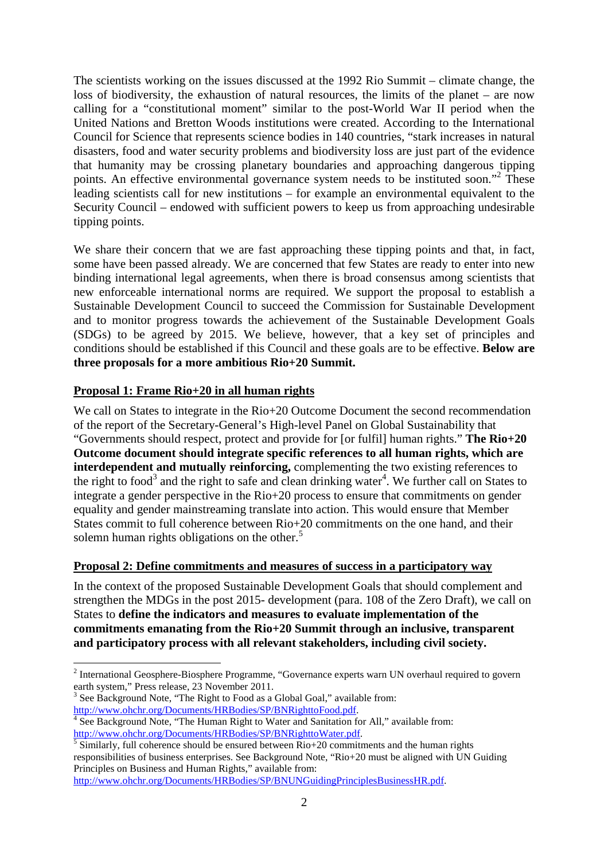The scientists working on the issues discussed at the 1992 Rio Summit – climate change, the loss of biodiversity, the exhaustion of natural resources, the limits of the planet – are now calling for a "constitutional moment" similar to the post-World War II period when the United Nations and Bretton Woods institutions were created. According to the International Council for Science that represents science bodies in 140 countries, "stark increases in natural disasters, food and water security problems and biodiversity loss are just part of the evidence that humanity may be crossing planetary boundaries and approaching dangerous tipping points. An effective environmental governance system needs to be instituted soon."<sup>2</sup> These leading scientists call for new institutions – for example an environmental equivalent to the Security Council – endowed with sufficient powers to keep us from approaching undesirable tipping points.

We share their concern that we are fast approaching these tipping points and that, in fact, some have been passed already. We are concerned that few States are ready to enter into new binding international legal agreements, when there is broad consensus among scientists that new enforceable international norms are required. We support the proposal to establish a Sustainable Development Council to succeed the Commission for Sustainable Development and to monitor progress towards the achievement of the Sustainable Development Goals (SDGs) to be agreed by 2015. We believe, however, that a key set of principles and conditions should be established if this Council and these goals are to be effective. **Below are three proposals for a more ambitious Rio+20 Summit.**

## **Proposal 1: Frame Rio+20 in all human rights**

We call on States to integrate in the Rio+20 Outcome Document the second recommendation of the report of the Secretary-General's High-level Panel on Global Sustainability that "Governments should respect, protect and provide for [or fulfil] human rights." **The Rio+20 Outcome document should integrate specific references to all human rights, which are interdependent and mutually reinforcing,** complementing the two existing references to the right to food<sup>3</sup> and the right to safe and clean drinking water<sup>4</sup>. We further call on States to integrate a gender perspective in the Rio+20 process to ensure that commitments on gender equality and gender mainstreaming translate into action. This would ensure that Member States commit to full coherence between Rio+20 commitments on the one hand, and their solemn human rights obligations on the other. $5$ 

## **Proposal 2: Define commitments and measures of success in a participatory way**

In the context of the proposed Sustainable Development Goals that should complement and strengthen the MDGs in the post 2015- development (para. 108 of the Zero Draft), we call on States to **define the indicators and measures to evaluate implementation of the commitments emanating from the Rio+20 Summit through an inclusive, transparent and participatory process with all relevant stakeholders, including civil society.**

 $\overline{a}$ 

5 Similarly, full coherence should be ensured between Rio+20 commitments and the human rights responsibilities of business enterprises. See Background Note, "Rio+20 must be aligned with UN Guiding Principles on Business and Human Rights," available from:

```
http://www.ohchr.org/Documents/HRBodies/SP/BNUNGuidingPrinciplesBusinessHR.pdf.
```
 $2$  International Geosphere-Biosphere Programme, "Governance experts warn UN overhaul required to govern earth system," Press release, 23 November 2011.

 $3$  See Background Note, "The Right to Food as a Global Goal," available from: http://www.ohchr.org/Documents/HRBodies/SP/BNRighttoFood.pdf.

<sup>&</sup>lt;sup>4</sup> See Background Note, "The Human Right to Water and Sanitation for All," available from: http://www.ohchr.org/Documents/HRBodies/SP/BNRighttoWater.pdf.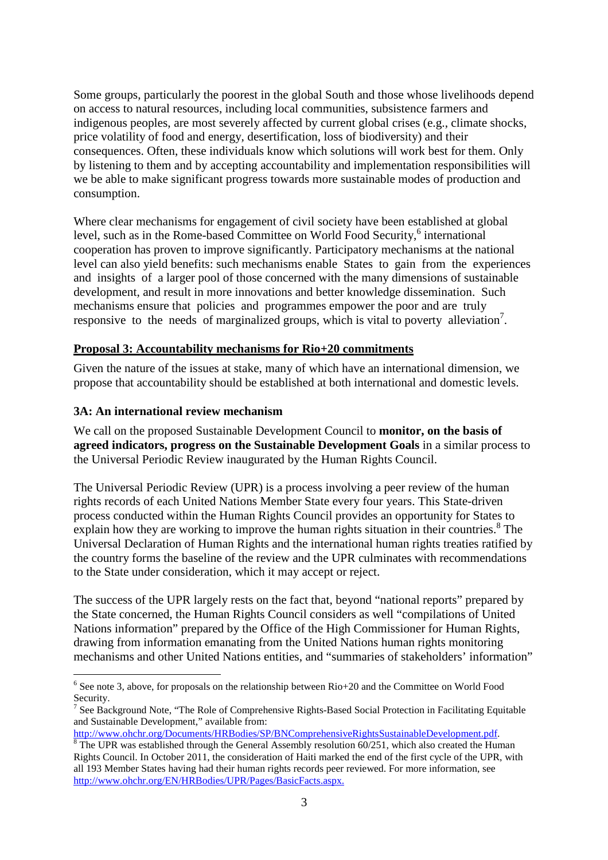Some groups, particularly the poorest in the global South and those whose livelihoods depend on access to natural resources, including local communities, subsistence farmers and indigenous peoples, are most severely affected by current global crises (e.g., climate shocks, price volatility of food and energy, desertification, loss of biodiversity) and their consequences. Often, these individuals know which solutions will work best for them. Only by listening to them and by accepting accountability and implementation responsibilities will we be able to make significant progress towards more sustainable modes of production and consumption.

Where clear mechanisms for engagement of civil society have been established at global level, such as in the Rome-based Committee on World Food Security,<sup>6</sup> international cooperation has proven to improve significantly. Participatory mechanisms at the national level can also yield benefits: such mechanisms enable States to gain from the experiences and insights of a larger pool of those concerned with the many dimensions of sustainable development, and result in more innovations and better knowledge dissemination. Such mechanisms ensure that policies and programmes empower the poor and are truly responsive to the needs of marginalized groups, which is vital to poverty alleviation<sup>7</sup>.

#### **Proposal 3: Accountability mechanisms for Rio+20 commitments**

Given the nature of the issues at stake, many of which have an international dimension, we propose that accountability should be established at both international and domestic levels.

#### **3A: An international review mechanism**

 $\overline{a}$ 

We call on the proposed Sustainable Development Council to **monitor, on the basis of agreed indicators, progress on the Sustainable Development Goals** in a similar process to the Universal Periodic Review inaugurated by the Human Rights Council.

The Universal Periodic Review (UPR) is a process involving a peer review of the human rights records of each United Nations Member State every four years. This State-driven process conducted within the Human Rights Council provides an opportunity for States to explain how they are working to improve the human rights situation in their countries.<sup>8</sup> The Universal Declaration of Human Rights and the international human rights treaties ratified by the country forms the baseline of the review and the UPR culminates with recommendations to the State under consideration, which it may accept or reject.

The success of the UPR largely rests on the fact that, beyond "national reports" prepared by the State concerned, the Human Rights Council considers as well "compilations of United Nations information" prepared by the Office of the High Commissioner for Human Rights, drawing from information emanating from the United Nations human rights monitoring mechanisms and other United Nations entities, and "summaries of stakeholders' information"

<sup>&</sup>lt;sup>6</sup> See note 3, above, for proposals on the relationship between Rio+20 and the Committee on World Food Security.

<sup>&</sup>lt;sup>7</sup> See Background Note, "The Role of Comprehensive Rights-Based Social Protection in Facilitating Equitable and Sustainable Development," available from:

http://www.ohchr.org/Documents/HRBodies/SP/BNComprehensiveRightsSustainableDevelopment.pdf.

 $8$  The UPR was established through the General Assembly resolution 60/251, which also created the Human Rights Council. In October 2011, the consideration of Haiti marked the end of the first cycle of the UPR, with all 193 Member States having had their human rights records peer reviewed. For more information, see http://www.ohchr.org/EN/HRBodies/UPR/Pages/BasicFacts.aspx.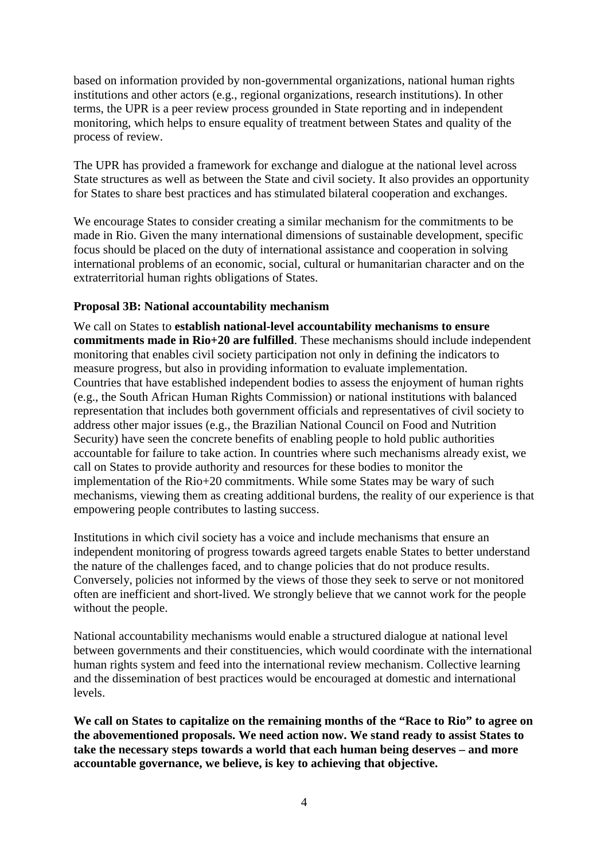based on information provided by non-governmental organizations, national human rights institutions and other actors (e.g., regional organizations, research institutions). In other terms, the UPR is a peer review process grounded in State reporting and in independent monitoring, which helps to ensure equality of treatment between States and quality of the process of review.

The UPR has provided a framework for exchange and dialogue at the national level across State structures as well as between the State and civil society. It also provides an opportunity for States to share best practices and has stimulated bilateral cooperation and exchanges.

We encourage States to consider creating a similar mechanism for the commitments to be made in Rio. Given the many international dimensions of sustainable development, specific focus should be placed on the duty of international assistance and cooperation in solving international problems of an economic, social, cultural or humanitarian character and on the extraterritorial human rights obligations of States.

### **Proposal 3B: National accountability mechanism**

We call on States to **establish national-level accountability mechanisms to ensure commitments made in Rio+20 are fulfilled**. These mechanisms should include independent monitoring that enables civil society participation not only in defining the indicators to measure progress, but also in providing information to evaluate implementation. Countries that have established independent bodies to assess the enjoyment of human rights (e.g., the South African Human Rights Commission) or national institutions with balanced representation that includes both government officials and representatives of civil society to address other major issues (e.g., the Brazilian National Council on Food and Nutrition Security) have seen the concrete benefits of enabling people to hold public authorities accountable for failure to take action. In countries where such mechanisms already exist, we call on States to provide authority and resources for these bodies to monitor the implementation of the Rio+20 commitments. While some States may be wary of such mechanisms, viewing them as creating additional burdens, the reality of our experience is that empowering people contributes to lasting success.

Institutions in which civil society has a voice and include mechanisms that ensure an independent monitoring of progress towards agreed targets enable States to better understand the nature of the challenges faced, and to change policies that do not produce results. Conversely, policies not informed by the views of those they seek to serve or not monitored often are inefficient and short-lived. We strongly believe that we cannot work for the people without the people.

National accountability mechanisms would enable a structured dialogue at national level between governments and their constituencies, which would coordinate with the international human rights system and feed into the international review mechanism. Collective learning and the dissemination of best practices would be encouraged at domestic and international levels.

**We call on States to capitalize on the remaining months of the "Race to Rio" to agree on the abovementioned proposals. We need action now. We stand ready to assist States to take the necessary steps towards a world that each human being deserves – and more accountable governance, we believe, is key to achieving that objective.**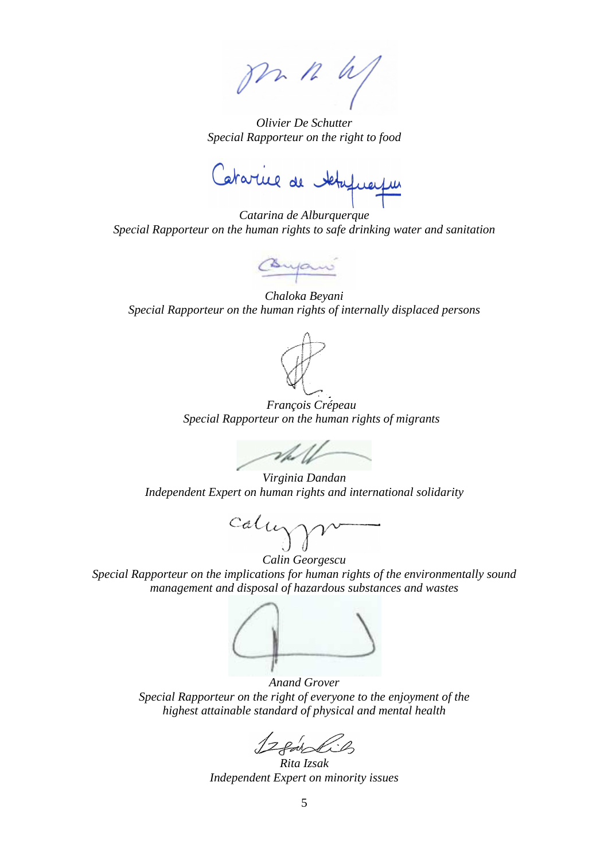m n us

*Olivier De Schutter Special Rapporteur on the right to food* 

Catarine de Majuais

*Catarina de Alburquerque Special Rapporteur on the human rights to safe drinking water and sanitation*

Conjan

*Chaloka Beyani Special Rapporteur on the human rights of internally displaced persons*



*François Crépeau Special Rapporteur on the human rights of migrants*



*Virginia Dandan Independent Expert on human rights and international solidarity*

callygr

*Calin Georgescu Special Rapporteur on the implications for human rights of the environmentally sound management and disposal of hazardous substances and wastes* 

*Anand Grover Special Rapporteur on the right of everyone to the enjoyment of the highest attainable standard of physical and mental health*

12 earlie

*Rita Izsak Independent Expert on minority issues*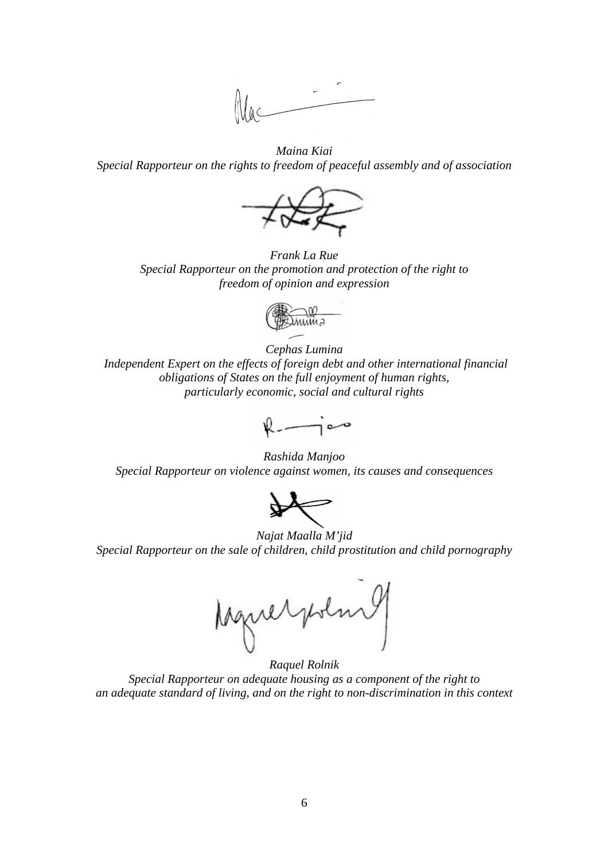

*Maina Kiai Special Rapporteur on the rights to freedom of peaceful assembly and of association* 



*Frank La Rue Special Rapporteur on the promotion and protection of the right to freedom of opinion and expression* 



*Cephas Lumina Independent Expert on the effects of foreign debt and other international financial obligations of States on the full enjoyment of human rights, particularly economic, social and cultural rights* 

 $l = \frac{1}{2}$ 

*Rashida Manjoo Special Rapporteur on violence against women, its causes and consequences* 



*Najat Maalla M'jid Special Rapporteur on the sale of children, child prostitution and child pornography*

Aguerpolar

*Raquel Rolnik Special Rapporteur on adequate housing as a component of the right to an adequate standard of living, and on the right to non-discrimination in this context*